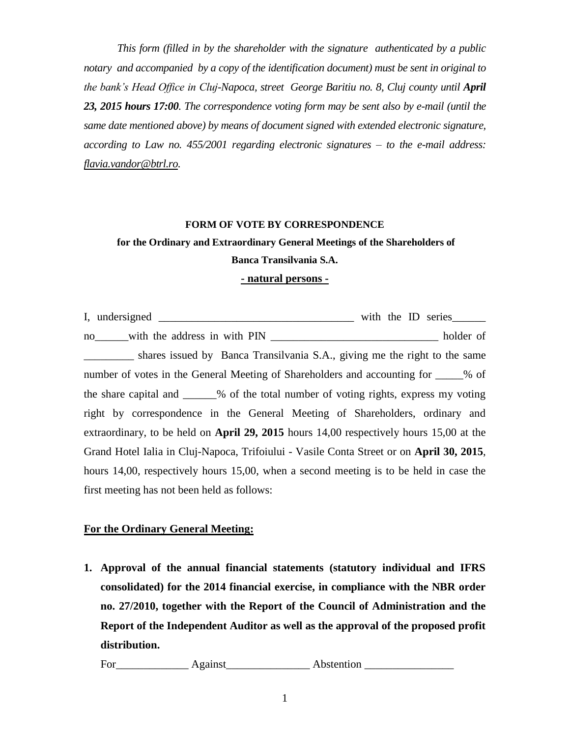*This form (filled in by the shareholder with the signature authenticated by a public notary and accompanied by a copy of the identification document) must be sent in original to the bank's Head Office in Cluj-Napoca, street George Baritiu no. 8, Cluj county until April 23, 2015 hours 17:00. The correspondence voting form may be sent also by e-mail (until the same date mentioned above) by means of document signed with extended electronic signature, according to Law no. 455/2001 regarding electronic signatures – to the e-mail address: [flavia.vandor@btrl.ro.](mailto:flavia.vandor@btrl.ro)*

#### **FORM OF VOTE BY CORRESPONDENCE**

# **for the Ordinary and Extraordinary General Meetings of the Shareholders of Banca Transilvania S.A.**

### **- natural persons -**

I, undersigned \_\_\_\_\_\_\_\_\_\_\_\_\_\_\_\_\_\_\_\_\_\_\_\_\_\_\_\_\_\_\_\_\_\_\_ with the ID series\_\_\_\_\_\_ no\_\_\_\_\_\_with the address in with PIN \_\_\_\_\_\_\_\_\_\_\_\_\_\_\_\_\_\_\_\_\_\_\_\_\_\_\_\_\_\_ holder of shares issued by Banca Transilvania S.A., giving me the right to the same number of votes in the General Meeting of Shareholders and accounting for  $\%$  of the share capital and \_\_\_\_\_\_% of the total number of voting rights, express my voting right by correspondence in the General Meeting of Shareholders, ordinary and extraordinary, to be held on **April 29, 2015** hours 14,00 respectively hours 15,00 at the Grand Hotel Ialia in Cluj-Napoca, Trifoiului - Vasile Conta Street or on **April 30, 2015**, hours 14,00, respectively hours 15,00, when a second meeting is to be held in case the first meeting has not been held as follows:

## **For the Ordinary General Meeting:**

**1. Approval of the annual financial statements (statutory individual and IFRS consolidated) for the 2014 financial exercise, in compliance with the NBR order no. 27/2010, together with the Report of the Council of Administration and the Report of the Independent Auditor as well as the approval of the proposed profit distribution.**

For\_\_\_\_\_\_\_\_\_\_\_\_\_ Against\_\_\_\_\_\_\_\_\_\_\_\_\_\_\_ Abstention \_\_\_\_\_\_\_\_\_\_\_\_\_\_\_\_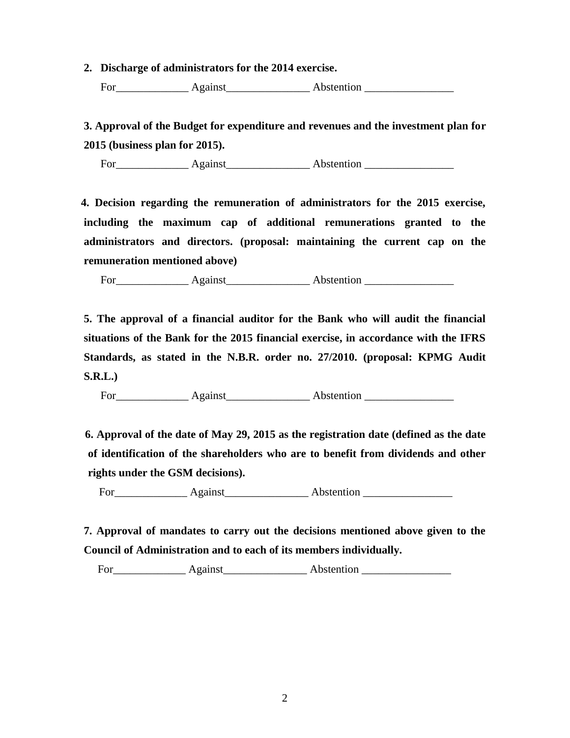**2. Discharge of administrators for the 2014 exercise.**

For\_\_\_\_\_\_\_\_\_\_\_\_\_ Against\_\_\_\_\_\_\_\_\_\_\_\_\_\_\_ Abstention \_\_\_\_\_\_\_\_\_\_\_\_\_\_\_\_

 **3. Approval of the Budget for expenditure and revenues and the investment plan for 2015 (business plan for 2015).**

For Against Abstention

 **4. Decision regarding the remuneration of administrators for the 2015 exercise, including the maximum cap of additional remunerations granted to the administrators and directors. (proposal: maintaining the current cap on the remuneration mentioned above)**

For\_\_\_\_\_\_\_\_\_\_\_\_\_ Against\_\_\_\_\_\_\_\_\_\_\_\_\_\_\_ Abstention \_\_\_\_\_\_\_\_\_\_\_\_\_\_\_\_

**5. The approval of a financial auditor for the Bank who will audit the financial situations of the Bank for the 2015 financial exercise, in accordance with the IFRS Standards, as stated in the N.B.R. order no. 27/2010. (proposal: KPMG Audit S.R.L.)**

For\_\_\_\_\_\_\_\_\_\_\_\_\_ Against\_\_\_\_\_\_\_\_\_\_\_\_\_\_\_ Abstention \_\_\_\_\_\_\_\_\_\_\_\_\_\_\_\_

 **6. Approval of the date of May 29, 2015 as the registration date (defined as the date of identification of the shareholders who are to benefit from dividends and other rights under the GSM decisions).**

For\_\_\_\_\_\_\_\_\_\_\_\_\_ Against\_\_\_\_\_\_\_\_\_\_\_\_\_\_\_ Abstention \_\_\_\_\_\_\_\_\_\_\_\_\_\_\_\_

**7. Approval of mandates to carry out the decisions mentioned above given to the Council of Administration and to each of its members individually.**

For Against Abstention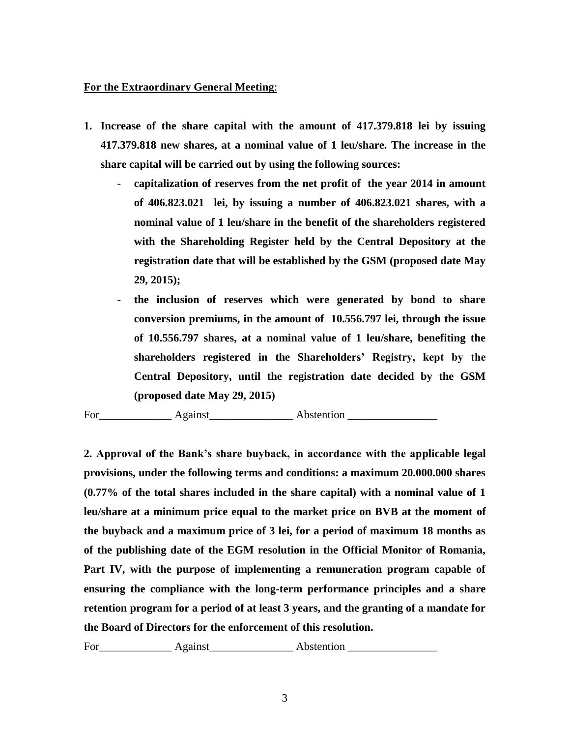## **For the Extraordinary General Meeting**:

- **1. Increase of the share capital with the amount of 417.379.818 lei by issuing 417.379.818 new shares, at a nominal value of 1 leu/share. The increase in the share capital will be carried out by using the following sources:**
	- **capitalization of reserves from the net profit of the year 2014 in amount of 406.823.021 lei, by issuing a number of 406.823.021 shares, with a nominal value of 1 leu/share in the benefit of the shareholders registered with the Shareholding Register held by the Central Depository at the registration date that will be established by the GSM (proposed date May 29, 2015);**
	- **the inclusion of reserves which were generated by bond to share conversion premiums, in the amount of 10.556.797 lei, through the issue of 10.556.797 shares, at a nominal value of 1 leu/share, benefiting the shareholders registered in the Shareholders' Registry, kept by the Central Depository, until the registration date decided by the GSM (proposed date May 29, 2015)**

For\_\_\_\_\_\_\_\_\_\_\_\_\_ Against\_\_\_\_\_\_\_\_\_\_\_\_\_\_\_ Abstention \_\_\_\_\_\_\_\_\_\_\_\_\_\_\_\_

**2. Approval of the Bank's share buyback, in accordance with the applicable legal provisions, under the following terms and conditions: a maximum 20.000.000 shares (0.77% of the total shares included in the share capital) with a nominal value of 1 leu/share at a minimum price equal to the market price on BVB at the moment of the buyback and a maximum price of 3 lei, for a period of maximum 18 months as of the publishing date of the EGM resolution in the Official Monitor of Romania, Part IV, with the purpose of implementing a remuneration program capable of ensuring the compliance with the long-term performance principles and a share retention program for a period of at least 3 years, and the granting of a mandate for the Board of Directors for the enforcement of this resolution.** 

For Against Abstention